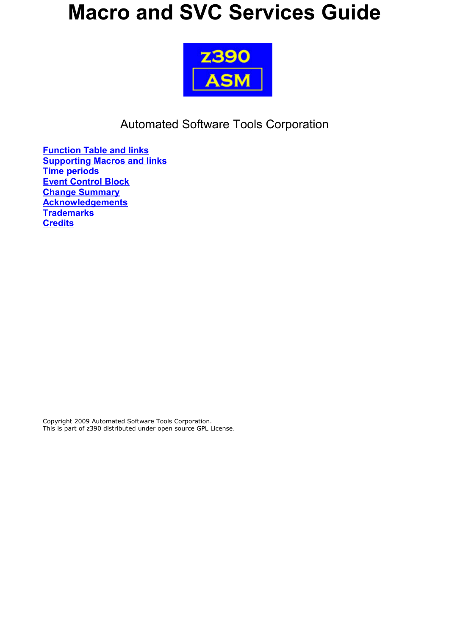# **Macro and SVC Services Guide**



Automated Software Tools Corporation

**[Function Table and links](#page-1-0) [Supporting Macros and links](#page-1-2) [Time periods](#page-1-1) [Event Control Block](#page-2-0) [Change Summary](#page-24-1) [Acknowledgements](#page-24-0) [Trademarks](#page-25-1) [Credits](#page-25-0)**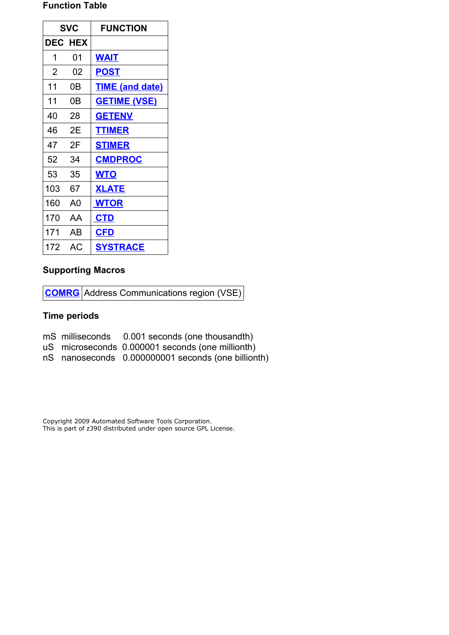### <span id="page-1-0"></span>**Function Table**

| <b>SVC</b>     |                | <b>FUNCTION</b>        |
|----------------|----------------|------------------------|
|                | <b>DEC HEX</b> |                        |
| 1              | 01             | <b>WAIT</b>            |
| $\overline{2}$ | 02             | POST                   |
| 11             | 0Β             | <b>TIME (and date)</b> |
| 11             | 0Β             | <u>GETIME (VSE)</u>    |
| 40             | 28             | <b>GETENV</b>          |
| 46             | 2Ε             | <b>TTIMER</b>          |
| 47             | 2F             | <b>STIMER</b>          |
| 52             | 34             | <b>CMDPROC</b>         |
| 53             | 35             | <b>WTO</b>             |
| 103            | 67             | <b>XLATE</b>           |
| 160            | A <sub>0</sub> | <b>WTOR</b>            |
| 170            | AА             | <b>CTD</b>             |
| 171            | AB             | <b>CFD</b>             |
| 172            | АC             | <b>SYSTRACE</b>        |

## <span id="page-1-2"></span>**Supporting Macros**

**[COMRG](#page-23-0)** Address Communications region (VSE)

# <span id="page-1-1"></span>**Time periods**

|  | mS milliseconds |  | 0.001 seconds (one thousandth) |
|--|-----------------|--|--------------------------------|
|--|-----------------|--|--------------------------------|

- uS microseconds 0.000001 seconds (one millionth)
- nS nanoseconds 0.000000001 seconds (one billionth)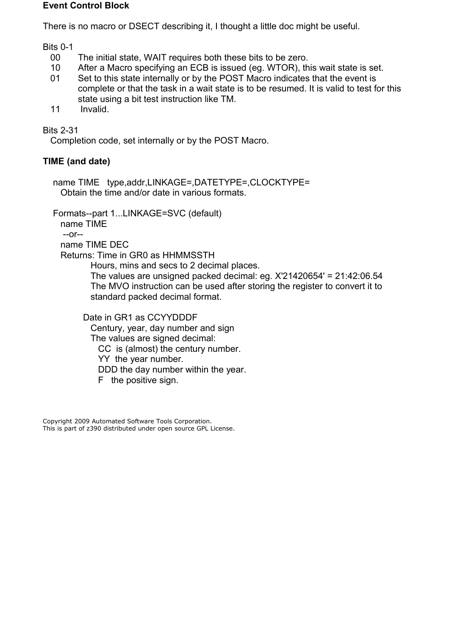#### <span id="page-2-0"></span>**Event Control Block**

There is no macro or DSECT describing it, I thought a little doc might be useful.

Bits 0-1

- 00 The initial state, WAIT requires both these bits to be zero.
- 10 After a Macro specifying an ECB is issued (eg. WTOR), this wait state is set.
- 01 Set to this state internally or by the POST Macro indicates that the event is complete or that the task in a wait state is to be resumed. It is valid to test for this state using a bit test instruction like TM.
- 11 Invalid.

Bits 2-31

Completion code, set internally or by the POST Macro.

# <span id="page-2-1"></span>**TIME (and date)**

 name TIME type,addr,LINKAGE=,DATETYPE=,CLOCKTYPE= Obtain the time and/or date in various formats.

Formats--part 1...LINKAGE=SVC (default)

 name TIME --or--

name TIME DEC

Returns: Time in GR0 as HHMMSSTH

Hours, mins and secs to 2 decimal places.

 The values are unsigned packed decimal: eg. X'21420654' = 21:42:06.54 The MVO instruction can be used after storing the register to convert it to standard packed decimal format.

 Date in GR1 as CCYYDDDF Century, year, day number and sign The values are signed decimal: CC is (almost) the century number. YY the year number. DDD the day number within the year. F the positive sign.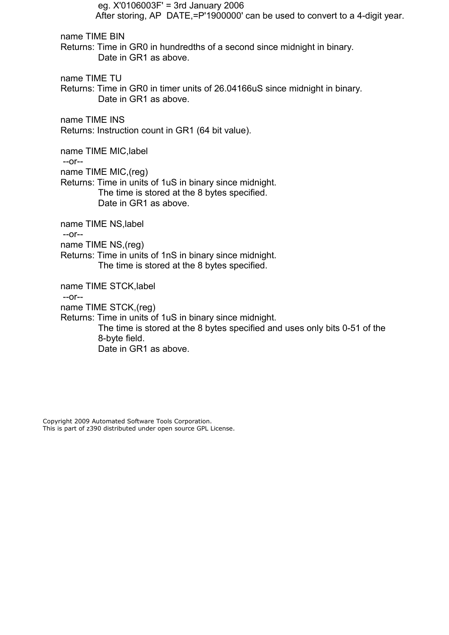eg. X'0106003F' = 3rd January 2006 After storing, AP DATE,=P'1900000' can be used to convert to a 4-digit year. name TIME BIN Returns: Time in GR0 in hundredths of a second since midnight in binary. Date in GR1 as above. name TIME TU Returns: Time in GR0 in timer units of 26.04166uS since midnight in binary. Date in GR1 as above. name TIME INS Returns: Instruction count in GR1 (64 bit value). name TIME MIC,label --or- name TIME MIC,(reg) Returns: Time in units of 1uS in binary since midnight. The time is stored at the 8 bytes specified. Date in GR1 as above. name TIME NS,label --or- name TIME NS,(reg) Returns: Time in units of 1nS in binary since midnight. The time is stored at the 8 bytes specified. name TIME STCK,label --or- name TIME STCK,(reg) Returns: Time in units of 1uS in binary since midnight. The time is stored at the 8 bytes specified and uses only bits 0-51 of the 8-byte field. Date in GR1 as above.

Copyright 2009 Automated Software Tools Corporation.

This is part of z390 distributed under open source GPL License.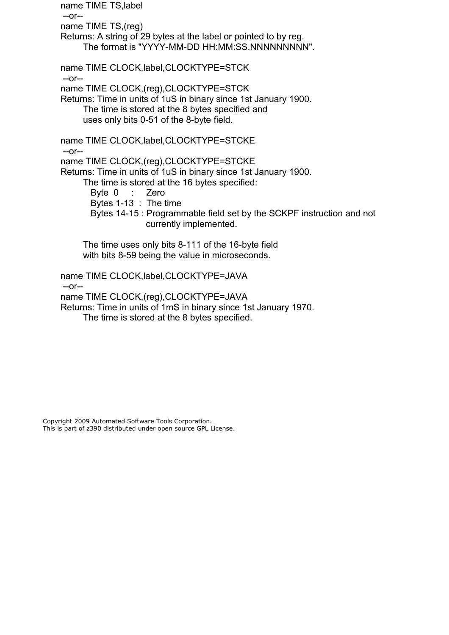name TIME TS,label --or- name TIME TS,(reg) Returns: A string of 29 bytes at the label or pointed to by reg. The format is "YYYY-MM-DD HH:MM:SS.NNNNNNNNN". name TIME CLOCK,label,CLOCKTYPE=STCK --or- name TIME CLOCK,(reg),CLOCKTYPE=STCK Returns: Time in units of 1uS in binary since 1st January 1900. The time is stored at the 8 bytes specified and uses only bits 0-51 of the 8-byte field. name TIME CLOCK,label,CLOCKTYPE=STCKE --or- name TIME CLOCK,(reg),CLOCKTYPE=STCKE Returns: Time in units of 1uS in binary since 1st January 1900. The time is stored at the 16 bytes specified: Byte 0 : Zero Bytes 1-13 : The time Bytes 14-15 : Programmable field set by the SCKPF instruction and not currently implemented. The time uses only bits 8-111 of the 16-byte field with bits 8-59 being the value in microseconds.

 name TIME CLOCK,label,CLOCKTYPE=JAVA --or- name TIME CLOCK,(reg),CLOCKTYPE=JAVA Returns: Time in units of 1mS in binary since 1st January 1970. The time is stored at the 8 bytes specified.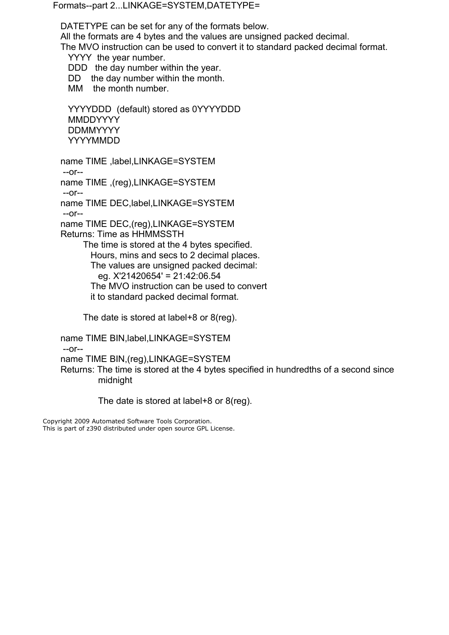Formats--part 2...LINKAGE=SYSTEM,DATETYPE=

DATETYPE can be set for any of the formats below.

All the formats are 4 bytes and the values are unsigned packed decimal.

The MVO instruction can be used to convert it to standard packed decimal format.

YYYY the year number.

DDD the day number within the year.

DD the day number within the month.

MM the month number.

 YYYYDDD (default) stored as 0YYYYDDD MMDDYYYY DDMMYYYY YYYYMMDD

 name TIME ,label,LINKAGE=SYSTEM --or--

name TIME ,(reg),LINKAGE=SYSTEM

--or--

name TIME DEC,label,LINKAGE=SYSTEM

--or--

 name TIME DEC,(reg),LINKAGE=SYSTEM Returns: Time as HHMMSSTH

 The time is stored at the 4 bytes specified. Hours, mins and secs to 2 decimal places. The values are unsigned packed decimal: eg. X'21420654' = 21:42:06.54 The MVO instruction can be used to convert it to standard packed decimal format.

The date is stored at label+8 or 8(reg).

name TIME BIN,label,LINKAGE=SYSTEM

--or--

name TIME BIN,(reg),LINKAGE=SYSTEM

 Returns: The time is stored at the 4 bytes specified in hundredths of a second since midnight

The date is stored at label+8 or 8(reg).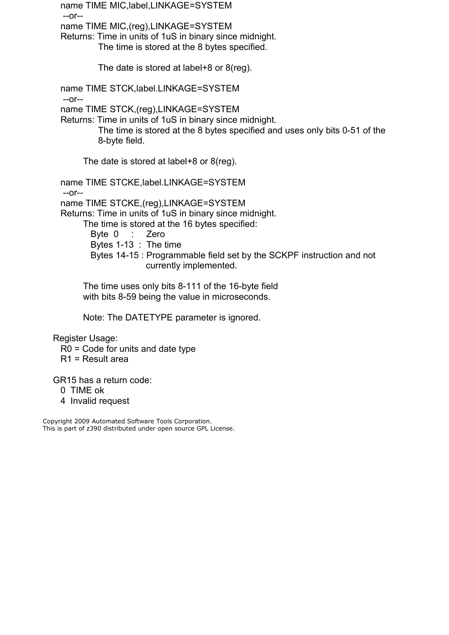name TIME MIC,label,LINKAGE=SYSTEM --or- name TIME MIC,(reg),LINKAGE=SYSTEM Returns: Time in units of 1uS in binary since midnight. The time is stored at the 8 bytes specified. The date is stored at label+8 or 8(reg). name TIME STCK,label.LINKAGE=SYSTEM --or- name TIME STCK,(reg),LINKAGE=SYSTEM Returns: Time in units of 1uS in binary since midnight. The time is stored at the 8 bytes specified and uses only bits 0-51 of the 8-byte field. The date is stored at label+8 or 8(reg). name TIME STCKE,label.LINKAGE=SYSTEM --or- name TIME STCKE,(reg),LINKAGE=SYSTEM Returns: Time in units of 1uS in binary since midnight.

 The time is stored at the 16 bytes specified: Byte 0 : Zero Bytes 1-13 : The time Bytes 14-15 : Programmable field set by the SCKPF instruction and not currently implemented.

 The time uses only bits 8-111 of the 16-byte field with bits 8-59 being the value in microseconds.

Note: The DATETYPE parameter is ignored.

Register Usage:

R0 = Code for units and date type

R1 = Result area

GR15 has a return code:

- 0 TIME ok
- 4 Invalid request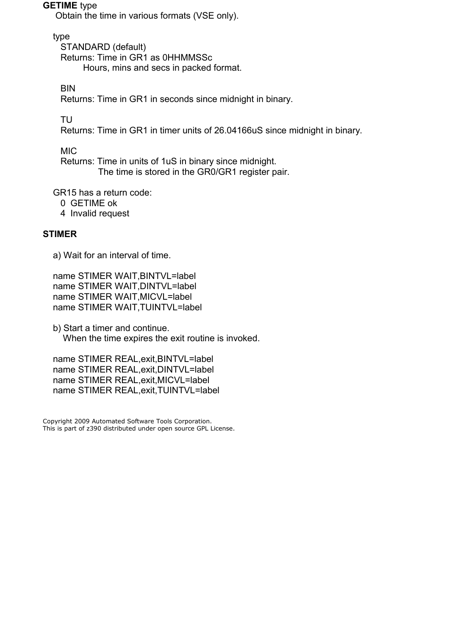#### <span id="page-7-1"></span>**GETIME** type

Obtain the time in various formats (VSE only).

type

 STANDARD (default) Returns: Time in GR1 as 0HHMMSSc Hours, mins and secs in packed format.

**BIN** 

Returns: Time in GR1 in seconds since midnight in binary.

TU

Returns: Time in GR1 in timer units of 26.04166uS since midnight in binary.

MIC

 Returns: Time in units of 1uS in binary since midnight. The time is stored in the GR0/GR1 register pair.

GR15 has a return code:

- 0 GETIME ok
- 4 Invalid request

## <span id="page-7-0"></span>**STIMER**

a) Wait for an interval of time.

 name STIMER WAIT,BINTVL=label name STIMER WAIT,DINTVL=label name STIMER WAIT,MICVL=label name STIMER WAIT,TUINTVL=label

 b) Start a timer and continue. When the time expires the exit routine is invoked.

 name STIMER REAL,exit,BINTVL=label name STIMER REAL,exit,DINTVL=label name STIMER REAL,exit,MICVL=label name STIMER REAL,exit,TUINTVL=label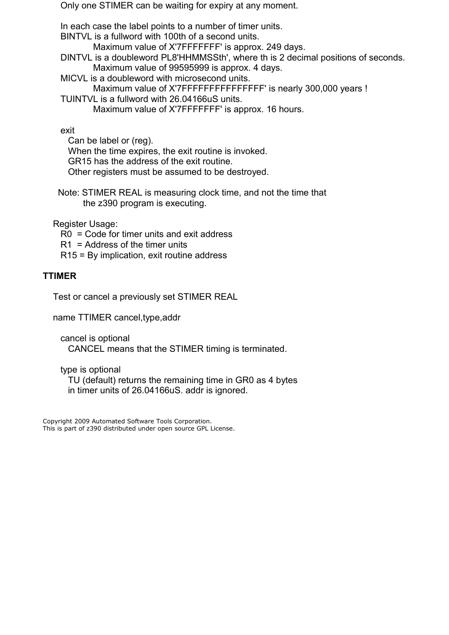Only one STIMER can be waiting for expiry at any moment.

In each case the label points to a number of timer units.

BINTVL is a fullword with 100th of a second units.

Maximum value of X'7FFFFFFF' is approx. 249 days.

 DINTVL is a doubleword PL8'HHMMSSth', where th is 2 decimal positions of seconds. Maximum value of 99595999 is approx. 4 days.

 MICVL is a doubleword with microsecond units. Maximum value of X'7FFFFFFFFFFFFFFFFF' is nearly 300,000 years !

 TUINTVL is a fullword with 26.04166uS units. Maximum value of X'7FFFFFFF' is approx. 16 hours.

exit

 Can be label or (reg). When the time expires, the exit routine is invoked. GR15 has the address of the exit routine. Other registers must be assumed to be destroyed.

 Note: STIMER REAL is measuring clock time, and not the time that the z390 program is executing.

Register Usage:

R0 = Code for timer units and exit address

R1 = Address of the timer units

R15 = By implication, exit routine address

# <span id="page-8-0"></span>**TTIMER**

Test or cancel a previously set STIMER REAL

name TTIMER cancel,type,addr

 cancel is optional CANCEL means that the STIMER timing is terminated.

type is optional

 TU (default) returns the remaining time in GR0 as 4 bytes in timer units of 26.04166uS. addr is ignored.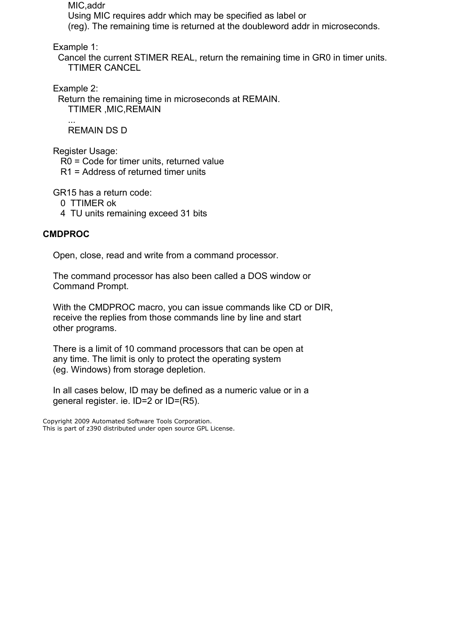MIC,addr

 Using MIC requires addr which may be specified as label or (reg). The remaining time is returned at the doubleword addr in microseconds.

Example 1:

 Cancel the current STIMER REAL, return the remaining time in GR0 in timer units. TTIMER CANCEL

Example 2:

 Return the remaining time in microseconds at REMAIN. TTIMER ,MIC,REMAIN

 ... REMAIN DS D

Register Usage:

R0 = Code for timer units, returned value

R1 = Address of returned timer units

GR15 has a return code:

- 0 TTIMER ok
- 4 TU units remaining exceed 31 bits

# <span id="page-9-0"></span>**CMDPROC**

Open, close, read and write from a command processor.

 The command processor has also been called a DOS window or Command Prompt.

 With the CMDPROC macro, you can issue commands like CD or DIR, receive the replies from those commands line by line and start other programs.

 There is a limit of 10 command processors that can be open at any time. The limit is only to protect the operating system (eg. Windows) from storage depletion.

 In all cases below, ID may be defined as a numeric value or in a general register. ie. ID=2 or ID=(R5).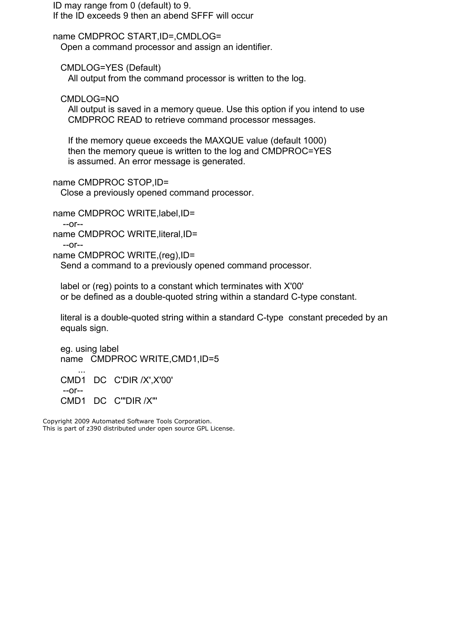ID may range from 0 (default) to 9. If the ID exceeds 9 then an abend SFFF will occur

 name CMDPROC START,ID=,CMDLOG= Open a command processor and assign an identifier.

 CMDLOG=YES (Default) All output from the command processor is written to the log.

CMDLOG=NO

 All output is saved in a memory queue. Use this option if you intend to use CMDPROC READ to retrieve command processor messages.

 If the memory queue exceeds the MAXQUE value (default 1000) then the memory queue is written to the log and CMDPROC=YES is assumed. An error message is generated.

name CMDPROC STOP,ID=

Close a previously opened command processor.

name CMDPROC WRITE,label,ID=

 --or- name CMDPROC WRITE, literal, ID=

 $-0r-$ 

name CMDPROC WRITE,(reg),ID=

Send a command to a previously opened command processor.

 label or (reg) points to a constant which terminates with X'00' or be defined as a double-quoted string within a standard C-type constant.

 literal is a double-quoted string within a standard C-type constant preceded by an equals sign.

 eg. using label name CMDPROC WRITE,CMD1,ID=5 ... CMD1 DC C'DIR /X',X'00' --or-- CMD1 DC C'"DIR /X"'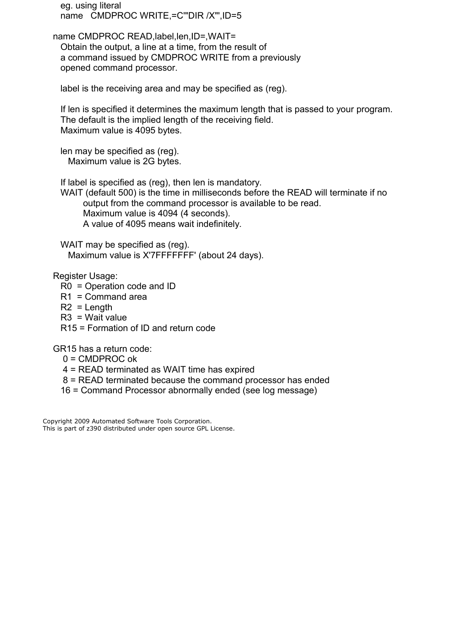eg. using literal name CMDPROC WRITE,=C'"DIR /X"',ID=5

name CMDPROC READ, label, len, ID=, WAIT= Obtain the output, a line at a time, from the result of a command issued by CMDPROC WRITE from a previously opened command processor.

label is the receiving area and may be specified as (reg).

 If len is specified it determines the maximum length that is passed to your program. The default is the implied length of the receiving field. Maximum value is 4095 bytes.

 len may be specified as (reg). Maximum value is 2G bytes.

If label is specified as (reg), then len is mandatory.

 WAIT (default 500) is the time in milliseconds before the READ will terminate if no output from the command processor is available to be read. Maximum value is 4094 (4 seconds). A value of 4095 means wait indefinitely.

WAIT may be specified as (reg). Maximum value is X'7FFFFFFF' (about 24 days).

Register Usage:

- R0 = Operation code and ID
- R1 = Command area
- R2 = Length
- R3 = Wait value
- R15 = Formation of ID and return code

GR15 has a return code:

- $0 =$  CMDPROC ok
- 4 = READ terminated as WAIT time has expired
- 8 = READ terminated because the command processor has ended
- 16 = Command Processor abnormally ended (see log message)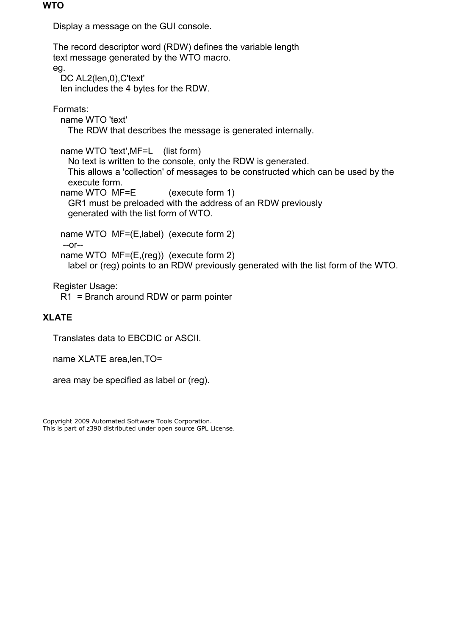#### <span id="page-12-1"></span>**WTO**

Display a message on the GUI console.

 The record descriptor word (RDW) defines the variable length text message generated by the WTO macro. eg. DC AL2(len,0), C'text' len includes the 4 bytes for the RDW. Formats: name WTO 'text' The RDW that describes the message is generated internally. name WTO 'text',MF=L (list form) No text is written to the console, only the RDW is generated. This allows a 'collection' of messages to be constructed which can be used by the execute form. name WTO MF=E (execute form 1) GR1 must be preloaded with the address of an RDW previously generated with the list form of WTO. name WTO MF=(E,label) (execute form 2) --or- name WTO MF=(E,(reg)) (execute form 2) label or (reg) points to an RDW previously generated with the list form of the WTO. Register Usage:

R1 = Branch around RDW or parm pointer

# <span id="page-12-0"></span>**XLATE**

Translates data to EBCDIC or ASCII.

name XLATE area,len,TO=

area may be specified as label or (reg).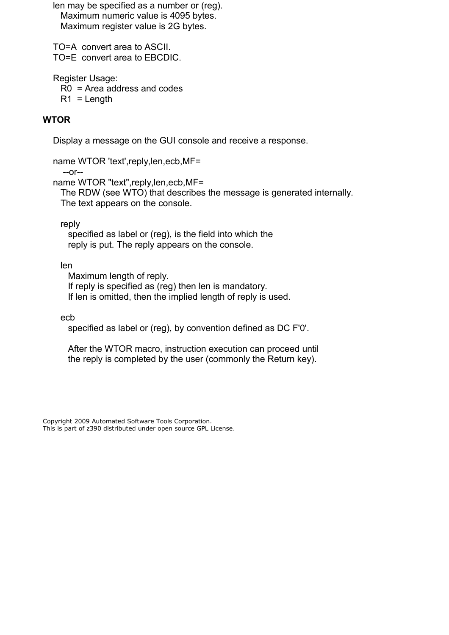len may be specified as a number or (reg). Maximum numeric value is 4095 bytes. Maximum register value is 2G bytes.

 TO=A convert area to ASCII. TO=E convert area to EBCDIC.

Register Usage:

R0 = Area address and codes

 $R1$  = Length

# <span id="page-13-0"></span>**WTOR**

Display a message on the GUI console and receive a response.

name WTOR 'text',reply,len,ecb,MF=

--or--

name WTOR "text",reply,len,ecb,MF=

 The RDW (see WTO) that describes the message is generated internally. The text appears on the console.

reply

 specified as label or (reg), is the field into which the reply is put. The reply appears on the console.

len

 Maximum length of reply. If reply is specified as (reg) then len is mandatory. If len is omitted, then the implied length of reply is used.

ecb

specified as label or (reg), by convention defined as DC F'0'.

 After the WTOR macro, instruction execution can proceed until the reply is completed by the user (commonly the Return key).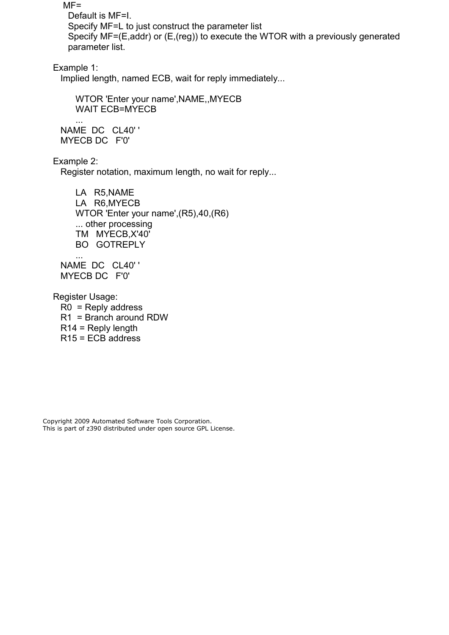$MF =$  Default is MF=I. Specify MF=L to just construct the parameter list Specify MF=(E,addr) or (E,(reg)) to execute the WTOR with a previously generated parameter list.

Example 1:

Implied length, named ECB, wait for reply immediately...

 WTOR 'Enter your name',NAME,,MYECB WAIT ECB=MYECB

 NAME DC CL40' ' MYECB DC F'0'

Example 2:

...

Register notation, maximum length, no wait for reply...

 LA R5,NAME LA R6,MYECB WTOR 'Enter your name',(R5),40,(R6) ... other processing TM MYECB,X'40' BO GOTREPLY

 ... NAME DC CL40' ' MYECB DC F'0'

 Register Usage: R0 = Reply address R1 = Branch around RDW R14 = Reply length R15 = ECB address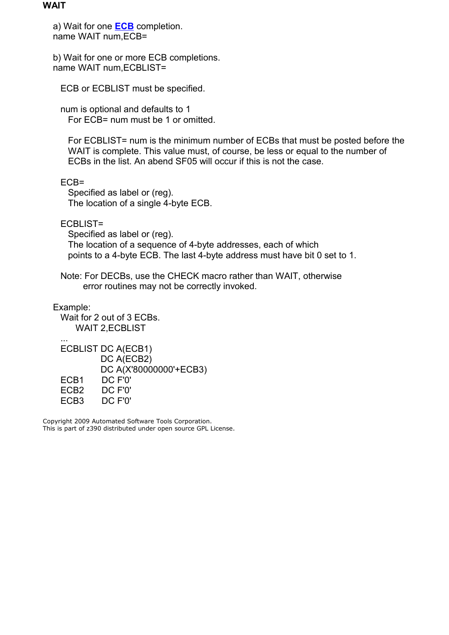#### <span id="page-15-0"></span>**WAIT**

 a) Wait for one **[ECB](#page-2-0)** completion. name WAIT num,ECB=

 b) Wait for one or more ECB completions. name WAIT num,ECBLIST=

ECB or ECBLIST must be specified.

 num is optional and defaults to 1 For ECB= num must be 1 or omitted.

 For ECBLIST= num is the minimum number of ECBs that must be posted before the WAIT is complete. This value must, of course, be less or equal to the number of ECBs in the list. An abend SF05 will occur if this is not the case.

ECB=

 Specified as label or (reg). The location of a single 4-byte ECB.

ECBLIST=

 Specified as label or (reg). The location of a sequence of 4-byte addresses, each of which points to a 4-byte ECB. The last 4-byte address must have bit 0 set to 1.

 Note: For DECBs, use the CHECK macro rather than WAIT, otherwise error routines may not be correctly invoked.

Example:

 Wait for 2 out of 3 ECBs. WAIT 2,ECBLIST ...

 ECBLIST DC A(ECB1) DC A(ECB2) DC A(X'80000000'+ECB3) ECB1 DC F'0' ECB2 DC F'0' ECB3 DC F'0'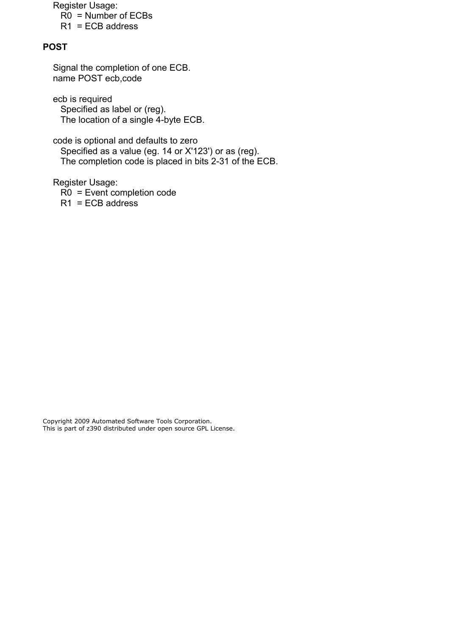Register Usage: R0 = Number of ECBs

 $R1 = ECB$  address

# <span id="page-16-0"></span>**POST**

 Signal the completion of one ECB. name POST ecb,code

 ecb is required Specified as label or (reg). The location of a single 4-byte ECB.

 code is optional and defaults to zero Specified as a value (eg. 14 or X'123') or as (reg). The completion code is placed in bits 2-31 of the ECB.

Register Usage:

 R0 = Event completion code  $R1 = ECB$  address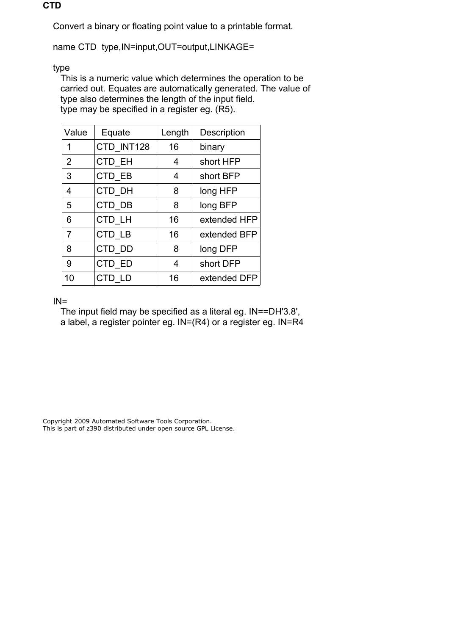### <span id="page-17-0"></span>**CTD**

Convert a binary or floating point value to a printable format.

name CTD type, IN=input, OUT=output, LINKAGE=

type

 This is a numeric value which determines the operation to be carried out. Equates are automatically generated. The value of type also determines the length of the input field. type may be specified in a register eg. (R5).

| Value | Equate     | Length | Description  |
|-------|------------|--------|--------------|
| 1     | CTD INT128 | 16     | binary       |
| 2     | CTD EH     | 4      | short HFP    |
| 3     | CTD EB     | 4      | short BFP    |
| 4     | CTD DH     | 8      | long HFP     |
| 5     | CTD DB     | 8      | long BFP     |
| 6     | CTD LH     | 16     | extended HFP |
| 7     | CTD LB     | 16     | extended BFP |
| 8     | CTD DD     | 8      | long DFP     |
| 9     | CTD ED     | 4      | short DFP    |
| 10    | CTD LD     | 16     | extended DFP |

## $IN =$

 The input field may be specified as a literal eg. IN==DH'3.8', a label, a register pointer eg. IN=(R4) or a register eg. IN=R4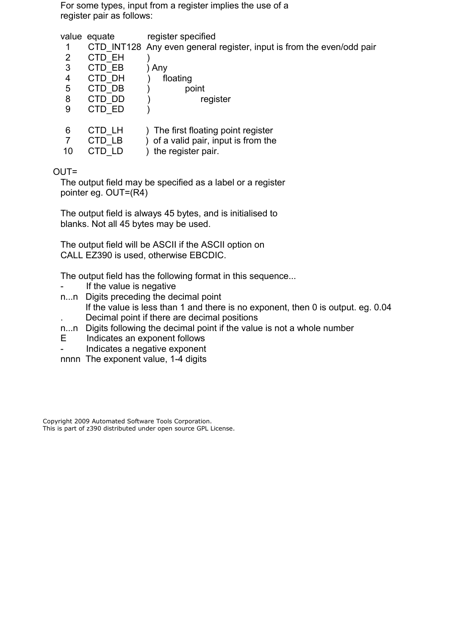For some types, input from a register implies the use of a register pair as follows:

value equate register specified

1 CTD INT128 Any even general register, input is from the even/odd pair

| 2       | CTD EH                  |                                                                                                   |
|---------|-------------------------|---------------------------------------------------------------------------------------------------|
| 3       | CTD EB                  | Any                                                                                               |
| 4       | CTD DH                  | floating                                                                                          |
| 5       | CTD DB                  | point                                                                                             |
| 8       | CTD DD                  | register                                                                                          |
| 9       | CTD ED                  |                                                                                                   |
| 6<br>10 | CTD LH<br>CTD LB<br>CTD | ) The first floating point register<br>) of a valid pair, input is from the<br>the register pair. |

# OUT=

 The output field may be specified as a label or a register pointer eg. OUT=(R4)

 The output field is always 45 bytes, and is initialised to blanks. Not all 45 bytes may be used.

 The output field will be ASCII if the ASCII option on CALL EZ390 is used, otherwise EBCDIC.

The output field has the following format in this sequence...

- If the value is negative
- n...n Digits preceding the decimal point If the value is less than 1 and there is no exponent, then 0 is output. eg. 0.04 . Decimal point if there are decimal positions
- n...n Digits following the decimal point if the value is not a whole number
- E Indicates an exponent follows
- Indicates a negative exponent
- nnnn The exponent value, 1-4 digits

Copyright 2009 Automated Software Tools Corporation. This is part of z390 distributed under open source GPL License.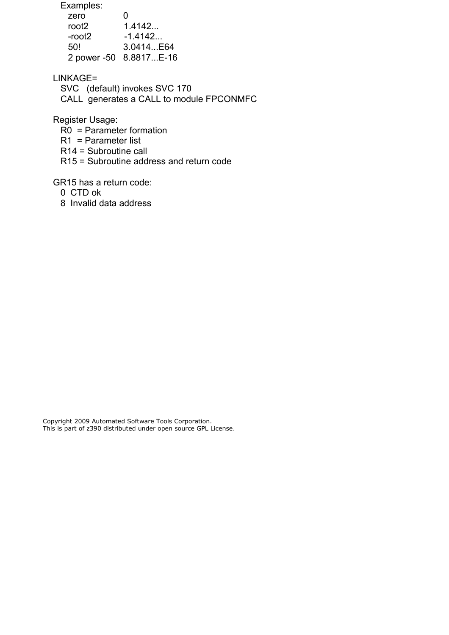Examples:

| zero   | O                      |
|--------|------------------------|
| root2  | 1.4142                 |
| -root2 | $-1.4142$              |
| 50!    | 3.0414E64              |
|        | 2 power -50 8.8817E-16 |

LINKAGE=

 SVC (default) invokes SVC 170 CALL generates a CALL to module FPCONMFC

Register Usage:

R0 = Parameter formation

R1 = Parameter list

R14 = Subroutine call

R15 = Subroutine address and return code

GR15 has a return code:

0 CTD ok

8 Invalid data address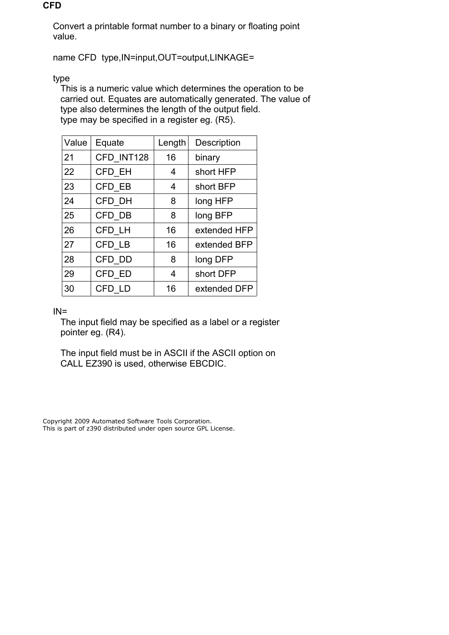## <span id="page-20-0"></span>**CFD**

 Convert a printable format number to a binary or floating point value.

name CFD type,IN=input,OUT=output,LINKAGE=

type

 This is a numeric value which determines the operation to be carried out. Equates are automatically generated. The value of type also determines the length of the output field. type may be specified in a register eg. (R5).

| Value | Equate     | Length | Description  |
|-------|------------|--------|--------------|
| 21    | CFD INT128 | 16     | binary       |
| 22    | CFD EH     | 4      | short HFP    |
| 23    | CFD EB     | 4      | short BFP    |
| 24    | CFD DH     | 8      | long HFP     |
| 25    | CFD DB     | 8      | long BFP     |
| 26    | CFD LH     | 16     | extended HFP |
| 27    | CFD LB     | 16     | extended BFP |
| 28    | CFD DD     | 8      | long DFP     |
| 29    | CFD ED     | 4      | short DFP    |
| 30    | CFD LD     | 16     | extended DFP |

 $IN =$ 

 The input field may be specified as a label or a register pointer eg. (R4).

 The input field must be in ASCII if the ASCII option on CALL EZ390 is used, otherwise EBCDIC.

Copyright 2009 Automated Software Tools Corporation. This is part of z390 distributed under open source GPL License.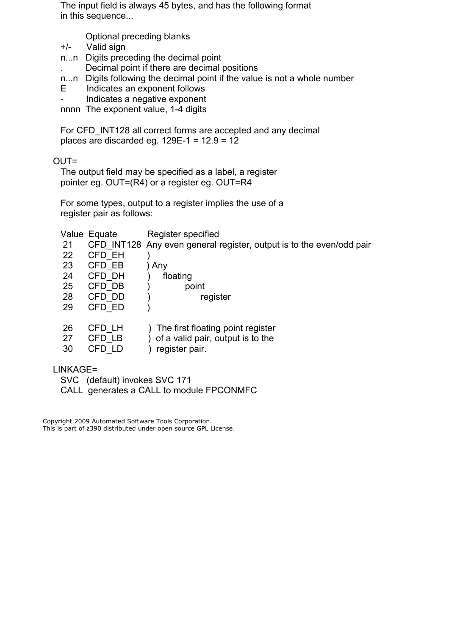The input field is always 45 bytes, and has the following format in this sequence...

- Optional preceding blanks
- +/- Valid sign
- n...n Digits preceding the decimal point
	- . Decimal point if there are decimal positions
- n...n Digits following the decimal point if the value is not a whole number
- E Indicates an exponent follows
- Indicates a negative exponent

nnnn The exponent value, 1-4 digits

For CFD INT128 all correct forms are accepted and any decimal places are discarded eg.  $129E-1 = 12.9 = 12$ 

OUT=

 The output field may be specified as a label, a register pointer eg. OUT=(R4) or a register eg. OUT=R4

 For some types, output to a register implies the use of a register pair as follows:

|          | Value Equate | Register specified                                                   |
|----------|--------------|----------------------------------------------------------------------|
| 21       |              | CFD INT128 Any even general register, output is to the even/odd pair |
| 22       | CFD EH       |                                                                      |
| 23       | CFD EB       | Any                                                                  |
| 24       | CFD DH       | floating                                                             |
| 25       | CFD DB       | point                                                                |
| 28       | CFD DD       | register                                                             |
| 29       | CFD ED       |                                                                      |
| 26       | CFD LH       | The first floating point register                                    |
| 27       | CFD LB       | of a valid pair, output is to the                                    |
| 30       | CFD LD       | register pair.                                                       |
| LINKAGE= |              |                                                                      |

 SVC (default) invokes SVC 171 CALL generates a CALL to module FPCONMFC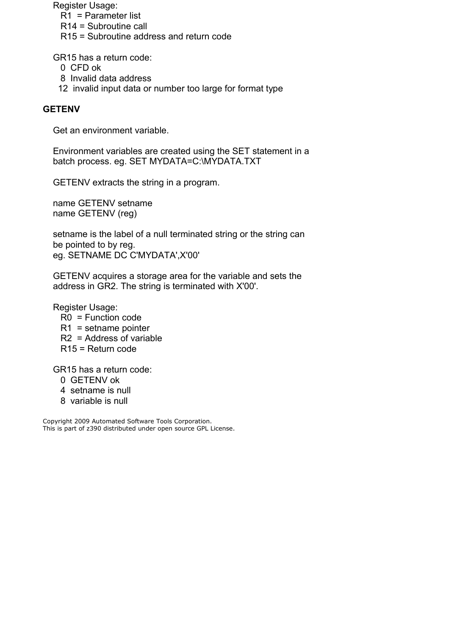Register Usage:

- R1 = Parameter list
- R14 = Subroutine call
- R15 = Subroutine address and return code

GR15 has a return code:

- 0 CFD ok
- 8 Invalid data address
- 12 invalid input data or number too large for format type

## <span id="page-22-0"></span>**GETENV**

Get an environment variable.

 Environment variables are created using the SET statement in a batch process. eq. SET MYDATA=C:\MYDATA.TXT

GETENV extracts the string in a program.

 name GETENV setname name GETENV (reg)

 setname is the label of a null terminated string or the string can be pointed to by reg. eg. SETNAME DC C'MYDATA',X'00'

 GETENV acquires a storage area for the variable and sets the address in GR2. The string is terminated with X'00'.

Register Usage:

- R0 = Function code
- R1 = setname pointer
- R2 = Address of variable
- R15 = Return code

GR15 has a return code:

- 0 GETENV ok
- 4 setname is null
- 8 variable is null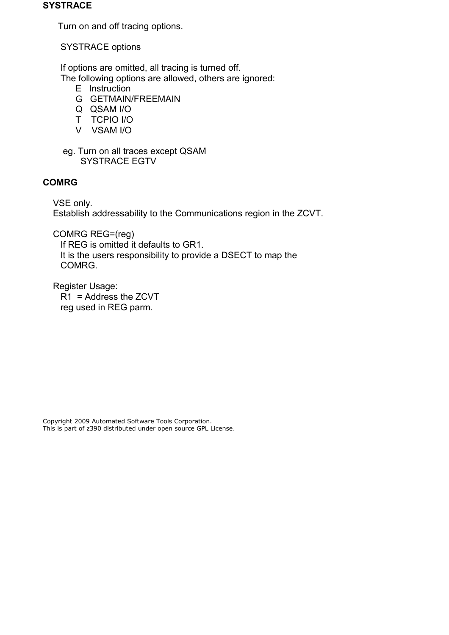#### <span id="page-23-1"></span>**SYSTRACE**

Turn on and off tracing options.

SYSTRACE options

 If options are omitted, all tracing is turned off. The following options are allowed, others are ignored:

- E Instruction
- G GETMAIN/FREEMAIN
- Q QSAM I/O
- T TCPIO I/O
- V VSAM I/O
- eg. Turn on all traces except QSAM SYSTRACE EGTV

## <span id="page-23-0"></span>**COMRG**

 VSE only. Establish addressability to the Communications region in the ZCVT.

COMRG REG=(reg)

 If REG is omitted it defaults to GR1. It is the users responsibility to provide a DSECT to map the COMRG.

 Register Usage: R1 = Address the ZCVT reg used in REG parm.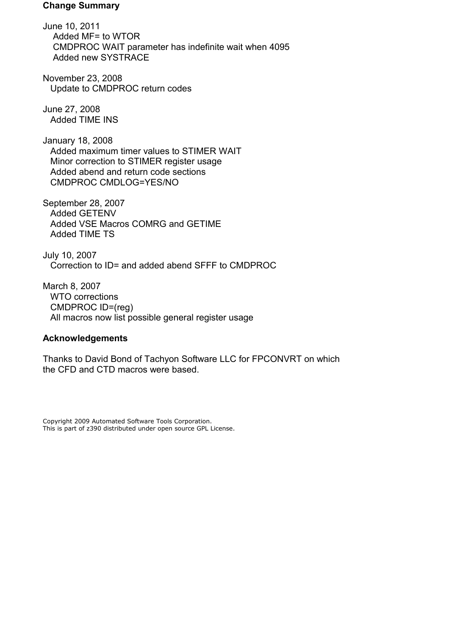#### <span id="page-24-1"></span>**Change Summary**

June 10, 2011 Added MF= to WTOR CMDPROC WAIT parameter has indefinite wait when 4095 Added new SYSTRACE

November 23, 2008 Update to CMDPROC return codes

June 27, 2008 Added TIME INS

January 18, 2008 Added maximum timer values to STIMER WAIT Minor correction to STIMER register usage Added abend and return code sections CMDPROC CMDLOG=YES/NO

September 28, 2007 Added GETENV Added VSE Macros COMRG and GETIME Added TIME TS

July 10, 2007 Correction to ID= and added abend SFFF to CMDPROC

March 8, 2007 WTO corrections CMDPROC ID=(reg) All macros now list possible general register usage

#### <span id="page-24-0"></span>**Acknowledgements**

Thanks to David Bond of Tachyon Software LLC for FPCONVRT on which the CFD and CTD macros were based.